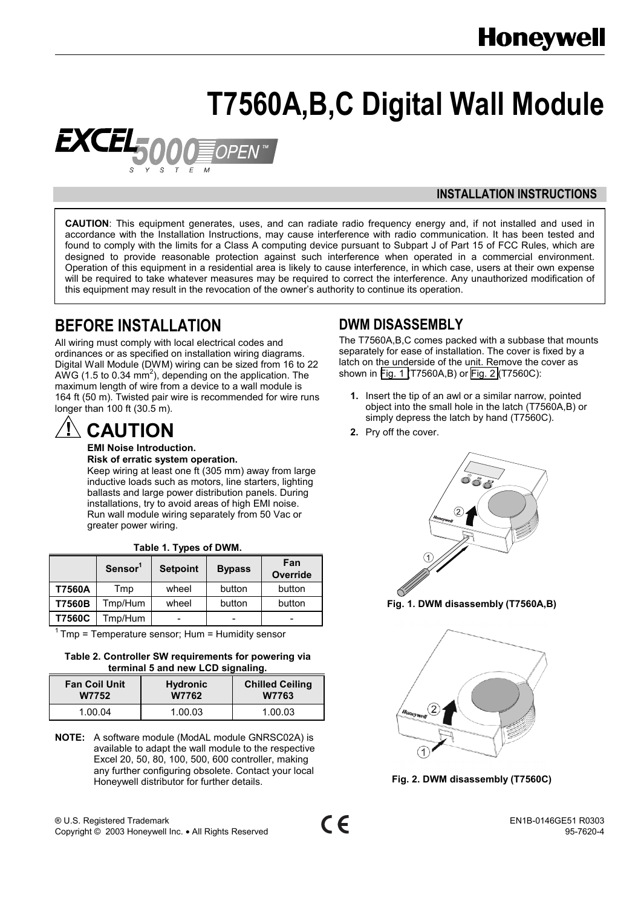# **T7560A,B,C Digital Wall Module**

<span id="page-0-0"></span>

#### **INSTALLATION INSTRUCTIONS**

**CAUTION**: This equipment generates, uses, and can radiate radio frequency energy and, if not installed and used in accordance with the Installation Instructions, may cause interference with radio communication. It has been tested and found to comply with the limits for a Class A computing device pursuant to Subpart J of Part 15 of FCC Rules, which are designed to provide reasonable protection against such interference when operated in a commercial environment. Operation of this equipment in a residential area is likely to cause interference, in which case, users at their own expense will be required to take whatever measures may be required to correct the interference. Any unauthorized modification of this equipment may result in the revocation of the owner's authority to continue its operation.

## **BEFORE INSTALLATION**

All wiring must comply with local electrical codes and ordinances or as specified on installation wiring diagrams. Digital Wall Module (DWM) wiring can be sized from 16 to 22 AWG (1.5 to 0.34 mm<sup>2</sup>), depending on the application. The maximum length of wire from a device to a wall module is 164 ft (50 m). Twisted pair wire is recommended for wire runs longer than 100 ft (30.5 m).

## **CAUTION**

**EMI Noise Introduction. Risk of erratic system operation.**

Keep wiring at least one ft (305 mm) away from large inductive loads such as motors, line starters, lighting ballasts and large power distribution panels. During installations, try to avoid areas of high EMI noise. Run wall module wiring separately from 50 Vac or greater power wiring.

|               | Sensor <sup>1</sup> | <b>Setpoint</b> | <b>Bypass</b> | Fan<br><b>Override</b> |
|---------------|---------------------|-----------------|---------------|------------------------|
| T7560A        | Tmp                 | wheel           | button        | button                 |
| T7560B        | Tmp/Hum             | wheel           | button        | button                 |
| <b>T7560C</b> | Tmp/Hum             |                 |               | -                      |

| Table 1. Types of DWM. |  |  |
|------------------------|--|--|
|------------------------|--|--|

 $1$  Tmp = Temperature sensor; Hum = Humidity sensor

#### **Table 2. Controller SW requirements for powering via terminal 5 and new LCD signaling.**

| <b>Fan Coil Unit</b> | <b>Hydronic</b> | <b>Chilled Ceiling</b> |  |
|----------------------|-----------------|------------------------|--|
| <b>W7752</b>         | W7762           | W7763                  |  |
| 1.00.04              | 1.00.03         | 1.00.03                |  |

**NOTE:** A software module (ModAL module GNRSC02A) is available to adapt the wall module to the respective Excel 20, 50, 80, 100, 500, 600 controller, making any further configuring obsolete. Contact your local Honeywell distributor for further details.

® U.S. Registered Trademark EN1B-0146GE51 R0303 Copyright © 2003 Honeywell Inc. • All Rights Reserved 95-7620-4

## **DWM DISASSEMBLY**

The T7560A,B,C comes packed with a subbase that mounts separately for ease of installation. The cover is fixed by a latch on the underside of the unit. Remove the cover as shown in Fig. 1 (T7560A,B) or Fig. 2 (T7560C):

- **1.** Insert the tip of an awl or a similar narrow, pointed object into the small hole in the latch (T7560A,B) or simply depress the latch by hand (T7560C).
- **2.** Pry off the cover.



**Fig. 1. DWM disassembly (T7560A,B)**



**Fig. 2. DWM disassembly (T7560C)**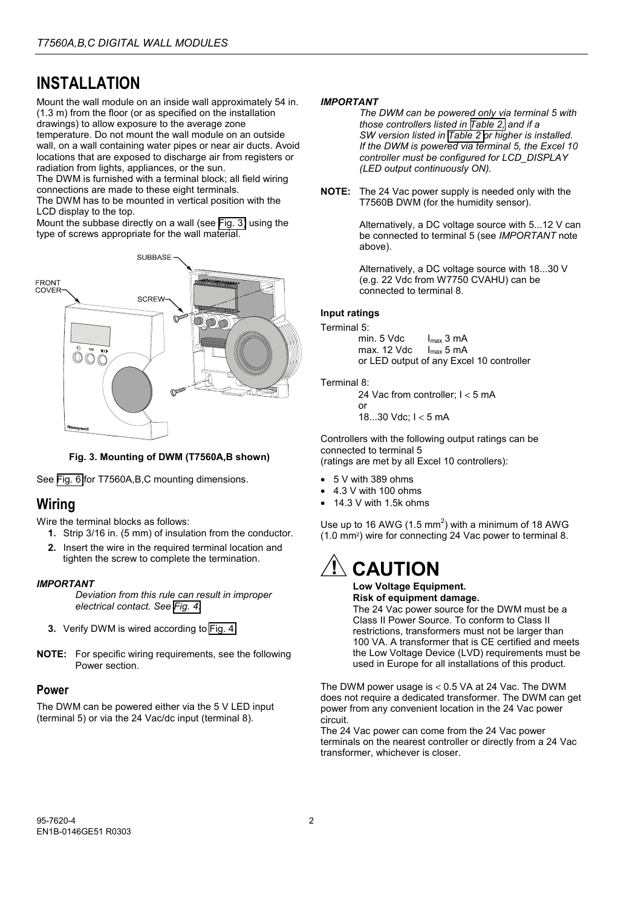## **INSTALLATION**

Mount the wall module on an inside wall approximately 54 in. (1.3 m) from the floor (or as specified on the installation drawings) to allow exposure to the average zone temperature. Do not mount the wall module on an outside wall, on a wall containing water pipes or near air ducts. Avoid locations that are exposed to discharge air from registers or radiation from lights, appliances, or the sun.

The DWM is furnished with a terminal block; all field wiring connections are made to these eight terminals.

The DWM has to be mounted in vertical position with the LCD display to the top.

Mount the subbase directly on a wall (see Fig. 3) using the type of screws appropriate for the wall material.



**Fig. 3. Mounting of DWM (T7560A,B shown)**

See [Fig. 6](#page-2-0) for T7560A,B,C mounting dimensions.

## **Wiring**

Wire the terminal blocks as follows:

- **1.** Strip 3/16 in. (5 mm) of insulation from the conductor.
- **2.** Insert the wire in the required terminal location and tighten the screw to complete the termination.

#### *IMPORTANT*

*Deviation from this rule can result in improper electrical contact. See [Fig. 4.](#page-2-0)*

- **3.** Verify DWM is wired according to [Fig. 4.](#page-2-0)
- **NOTE:** For specific wiring requirements, see the following Power section.

#### **Power**

The DWM can be powered either via the 5 V LED input (terminal 5) or via the 24 Vac/dc input (terminal 8).

#### *IMPORTANT*

*The DWM can be powered only via terminal 5 with those controllers listed in [Table 2,](#page-0-0) and if a SW version listed in [Table 2 o](#page-0-0)r higher is installed. If the DWM is powered via terminal 5, the Excel 10 controller must be configured for LCD\_DISPLAY (LED output continuously ON).*

**NOTE:** The 24 Vac power supply is needed only with the T7560B DWM (for the humidity sensor).

> Alternatively, a DC voltage source with 5...12 V can be connected to terminal 5 (see *IMPORTANT* note above).

Alternatively, a DC voltage source with 18...30 V (e.g. 22 Vdc from W7750 CVAHU) can be connected to terminal 8.

#### **Input ratings**

Terminal 5:

min.  $5 \text{ Vdc}$   $I_{\text{max}} 3 \text{ mA}$ max. 12 Vdc  $I_{\text{max}}$  5 mA or LED output of any Excel 10 controller

#### Terminal 8:

24 Vac from controller; I < 5 mA or 18...30 Vdc; I < 5 mA

Controllers with the following output ratings can be connected to terminal 5 (ratings are met by all Excel 10 controllers):

- 5 V with 389 ohms
- 4.3 V with 100 ohms
- 14.3 V with 1.5k ohms

Use up to 16 AWG (1.5 mm<sup>2</sup>) with a minimum of 18 AWG (1.0 mm2) wire for connecting 24 Vac power to terminal 8.

## **CAUTION**

#### **Low Voltage Equipment. Risk of equipment damage.**

The 24 Vac power source for the DWM must be a Class II Power Source. To conform to Class II restrictions, transformers must not be larger than 100 VA. A transformer that is CE certified and meets the Low Voltage Device (LVD) requirements must be used in Europe for all installations of this product.

The DWM power usage is < 0.5 VA at 24 Vac. The DWM does not require a dedicated transformer. The DWM can get power from any convenient location in the 24 Vac power circuit.

The 24 Vac power can come from the 24 Vac power terminals on the nearest controller or directly from a 24 Vac transformer, whichever is closer.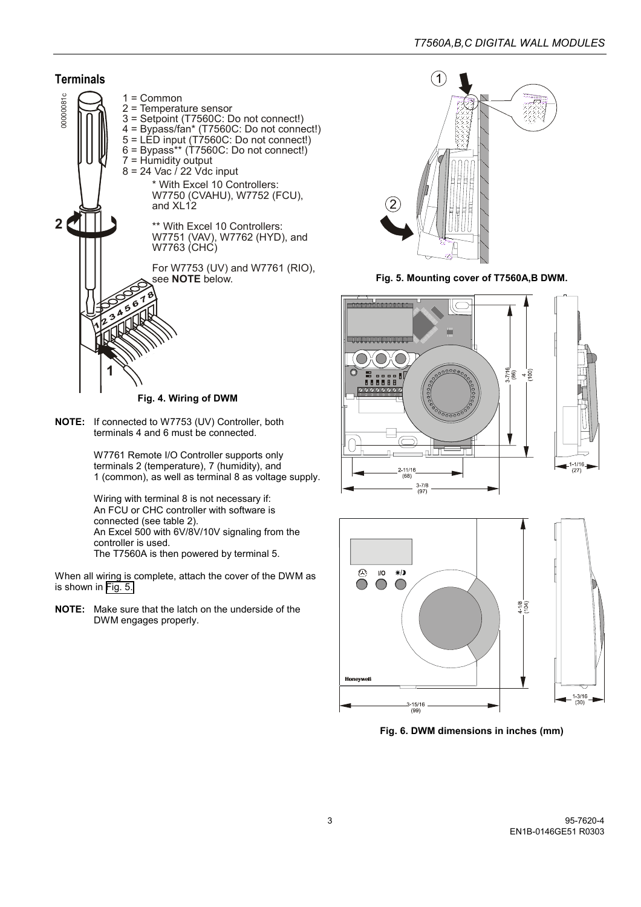<span id="page-2-0"></span>

**Fig. 4. Wiring of DWM**

**NOTE:** If connected to W7753 (UV) Controller, both terminals 4 and 6 must be connected.

> W7761 Remote I/O Controller supports only terminals 2 (temperature), 7 (humidity), and 1 (common), as well as terminal 8 as voltage supply.

Wiring with terminal 8 is not necessary if: An FCU or CHC controller with software is connected (see table 2). An Excel 500 with 6V/8V/10V signaling from the controller is used. The T7560A is then powered by terminal 5.

When all wiring is complete, attach the cover of the DWM as is shown in Fig. 5.

**NOTE:** Make sure that the latch on the underside of the DWM engages properly.



**Fig. 5. Mounting cover of T7560A,B DWM.**





**Fig. 6. DWM dimensions in inches (mm)**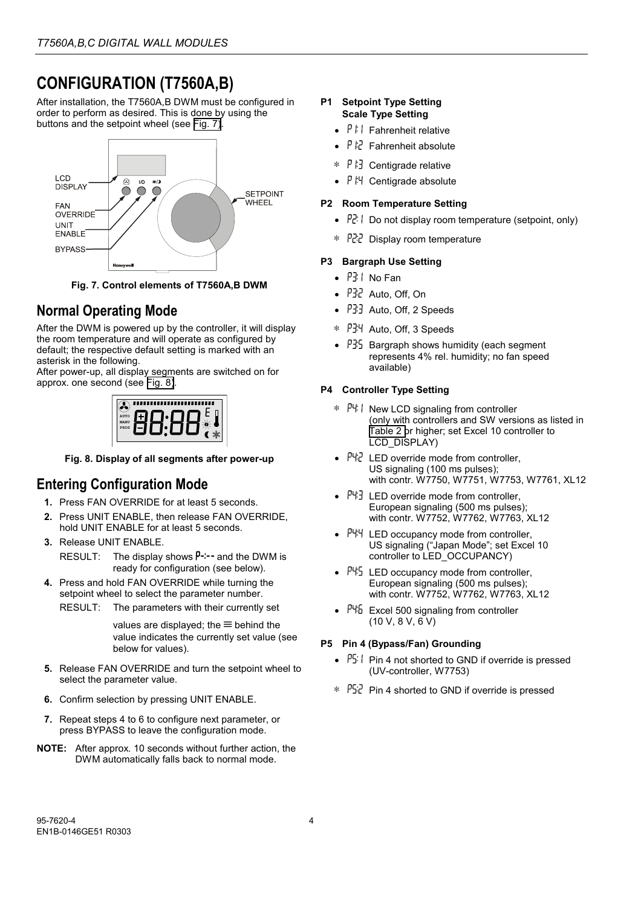## **CONFIGURATION (T7560A,B)**

After installation, the T7560A,B DWM must be configured in order to perform as desired. This is done by using the buttons and the setpoint wheel (see Fig. 7).



**Fig. 7. Control elements of T7560A,B DWM**

## **Normal Operating Mode**

After the DWM is powered up by the controller, it will display the room temperature and will operate as configured by default; the respective default setting is marked with an asterisk in the following.

After power-up, all display segments are switched on for approx. one second (see Fig. 8).

| AUTO<br>MANU<br>PROG | ш<br>ш | ,,,,,,,,,,,,,,,, | Ш<br>Ш | т |
|----------------------|--------|------------------|--------|---|
|                      |        |                  |        |   |

**Fig. 8. Display of all segments after power-up**

## **Entering Configuration Mode**

- **1.** Press FAN OVERRIDE for at least 5 seconds.
- **2.** Press UNIT ENABLE, then release FAN OVERRIDE, hold UNIT ENABLE for at least 5 seconds.
- **3.** Release UNIT ENABLE.

RESULT: The display shows  $P^{-1}-$  and the DWM is ready for configuration (see below).

- **4.** Press and hold FAN OVERRIDE while turning the setpoint wheel to select the parameter number.
	- RESULT: The parameters with their currently set

values are displayed; the  $\equiv$  behind the value indicates the currently set value (see below for values).

- **5.** Release FAN OVERRIDE and turn the setpoint wheel to select the parameter value.
- **6.** Confirm selection by pressing UNIT ENABLE.
- **7.** Repeat steps 4 to 6 to configure next parameter, or press BYPASS to leave the configuration mode.
- **NOTE:** After approx. 10 seconds without further action, the DWM automatically falls back to normal mode.

#### **P1 Setpoint Type Setting Scale Type Setting**

- $P \upharpoonright \mathsf{I}$  Fahrenheit relative
- $\int \frac{1}{x^2}$  Fahrenheit absolute
- ∗ Centigrade relative
- $P H$  Centigrade absolute

#### **P2 Room Temperature Setting**

- $\mathbb{P}^{\mathbb{P}}$ . Do not display room temperature (setpoint, only)
- ∗ Display room temperature

#### **P3 Bargraph Use Setting**

- $P3!$  No Fan
- $\cdot$   $\overline{P}$   $\overline{A}$  Auto, Off, On
- $PI3$  Auto, Off, 2 Speeds
- ∗ Auto, Off, 3 Speeds
- $P\overline{3}$  Bargraph shows humidity (each segment represents 4% rel. humidity; no fan speed available)

#### **P4 Controller Type Setting**

- ∗ New LCD signaling from controller (only with controllers and SW versions as listed in [Table 2 o](#page-0-0)r higher; set Excel 10 controller to LCD\_DISPLAY)
- $\bullet$   $PI:2$  LED override mode from controller, US signaling (100 ms pulses); with contr. W7750, W7751, W7753, W7761, XL12
- $PI:$  LED override mode from controller. European signaling (500 ms pulses); with contr. W7752, W7762, W7763, XL12
- $\bullet$   $P44$  LED occupancy mode from controller, US signaling ("Japan Mode"; set Excel 10 controller to LED\_OCCUPANCY)
- $\cdot$   $P4.5$  LED occupancy mode from controller, European signaling (500 ms pulses); with contr. W7752, W7762, W7763, XL12
- $\bullet$   $P46$  Excel 500 signaling from controller (10 V, 8 V, 6 V)

#### **P5 Pin 4 (Bypass/Fan) Grounding**

- $\mathsf{PS} \downarrow \mathsf{Pin}$  4 not shorted to GND if override is pressed (UV-controller, W7753)
- ∗ Pin 4 shorted to GND if override is pressed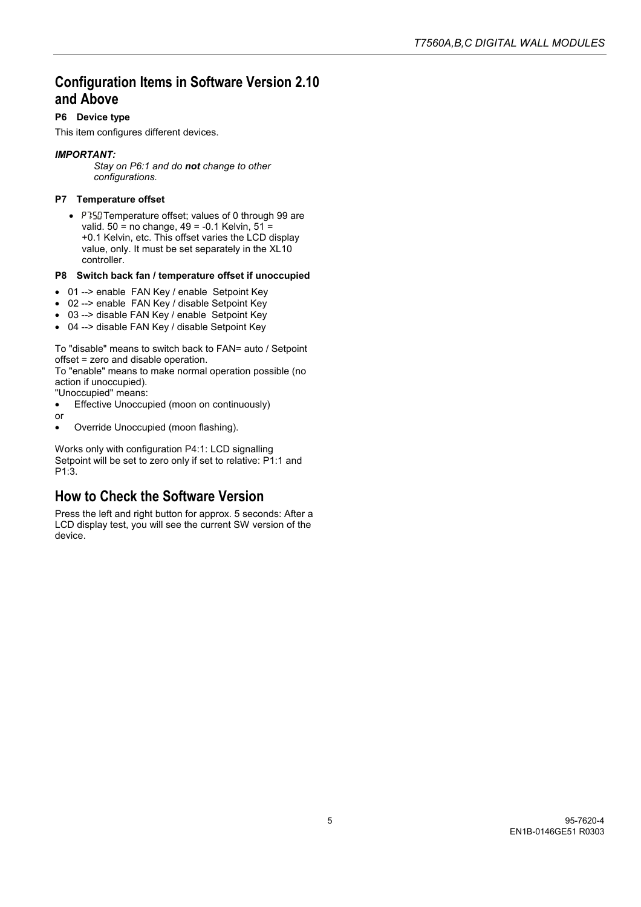### **Configuration Items in Software Version 2.10 and Above**

#### **P6 Device type**

This item configures different devices.

#### *IMPORTANT:*

*Stay on P6:1 and do not change to other configurations.*

#### **P7 Temperature offset**

• P7:50 Temperature offset; values of 0 through 99 are valid.  $50 = no change$ ,  $49 = -0.1$  Kelvin,  $51 =$ +0.1 Kelvin, etc. This offset varies the LCD display value, only. It must be set separately in the XL10 controller.

#### **P8 Switch back fan / temperature offset if unoccupied**

- 01 --> enable FAN Key / enable Setpoint Key
- 02 --> enable FAN Key / disable Setpoint Key
- 03 --> disable FAN Key / enable Setpoint Key
- 04 --> disable FAN Key / disable Setpoint Key

To "disable" means to switch back to FAN= auto / Setpoint offset = zero and disable operation.

To "enable" means to make normal operation possible (no action if unoccupied).

"Unoccupied" means:

- Effective Unoccupied (moon on continuously)
- or
- Override Unoccupied (moon flashing).

Works only with configuration P4:1: LCD signalling Setpoint will be set to zero only if set to relative: P1:1 and P1:3.

### **How to Check the Software Version**

Press the left and right button for approx. 5 seconds: After a LCD display test, you will see the current SW version of the device.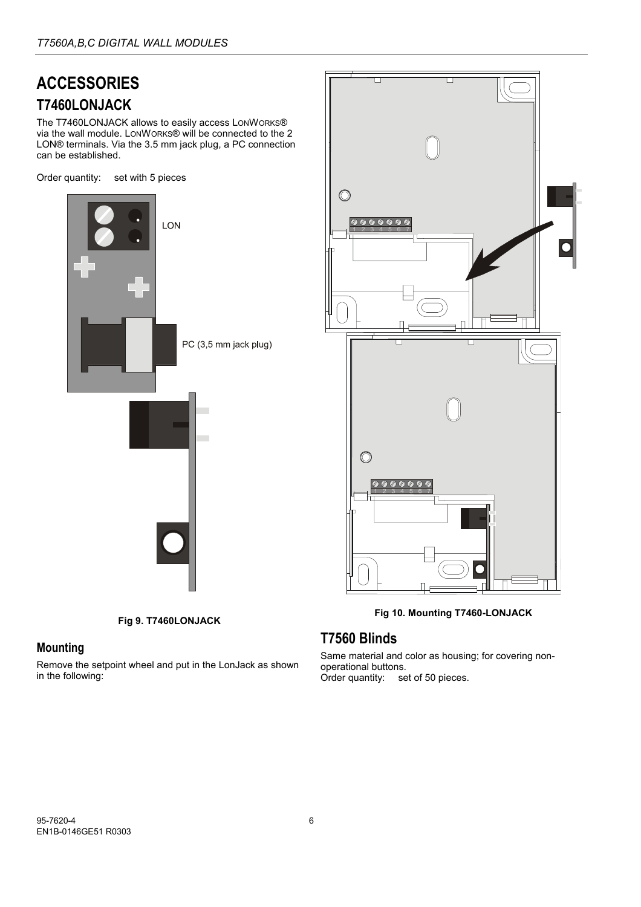## **ACCESSORIES T7460LONJACK**

The T7460LONJACK allows to easily access LONWORKS® via the wall module. LONWORKS® will be connected to the 2 LON® terminals. Via the 3.5 mm jack plug, a PC connection can be established.

Order quantity: set with 5 pieces



**Fig 9. T7460LONJACK**

### **Mounting**

Remove the setpoint wheel and put in the LonJack as shown in the following:



**Fig 10. Mounting T7460-LONJACK**

## **T7560 Blinds**

Same material and color as housing; for covering nonoperational buttons. Order quantity: set of 50 pieces.